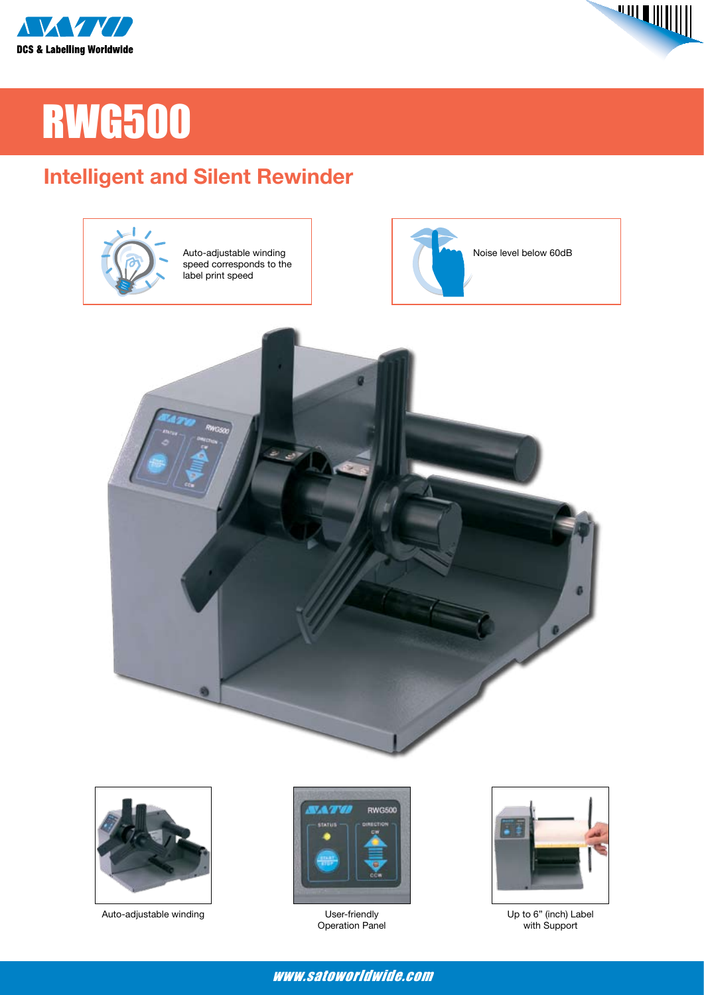



# RWG500

## **Intelligent and Silent Rewinder**





Auto-adjustable winding example of the User-friendly



Operation Panel



Up to 6" (inch) Label with Support

#### www.satoworldwide.com